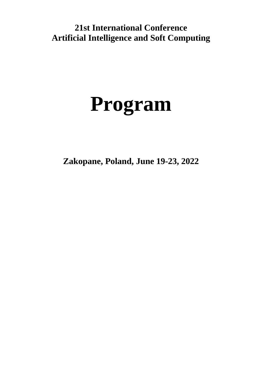**21st International Conference Artificial Intelligence and Soft Computing**

# **Program**

**Zakopane, Poland, June 19-23, 2022**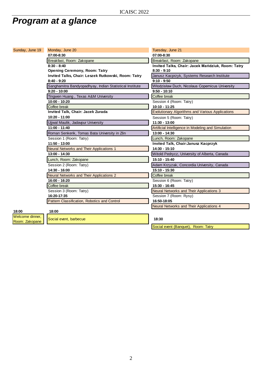## *Program at a glance*

| Sunday, June 19                   | Monday, June 20                                         | Tuesday, June 21                                        |
|-----------------------------------|---------------------------------------------------------|---------------------------------------------------------|
|                                   | 07:00-8:30                                              | 07:00-8:30                                              |
|                                   | Breakfast, Room: Zakopane                               | Breakfast, Room: Zakopane                               |
|                                   | $8:30 - 8:40$                                           | Invited Talks, Chair: Jacek Mańdziuk, Room: Tatry       |
|                                   | <b>Opening Ceremony, Room: Tatry</b>                    | $8:30 - 9:10$                                           |
|                                   | Invited Talks, Chair: Leszek Rutkowski, Room: Tatry     | Janusz Kacprzyk, Systems Research Institute             |
|                                   | $8:40 - 9:20$                                           | $9:10 - 9:50$                                           |
|                                   | Sanghamitra Bandyopadhyay, Indian Statistical Institute | Włodzisław Duch, Nicolaus Copernicus University         |
|                                   | $9:20 - 10:00$                                          | $9:50 - 10:10$                                          |
|                                   | Tingwen Huang, Texas A&M University                     | Coffee break                                            |
|                                   | 10:00 - 10:20                                           | Session 4 (Room: Tatry)                                 |
|                                   | Coffee break                                            | 10:10 - 11:25                                           |
|                                   | Invited Talk, Chair: Jacek Zurada                       | <b>Evolutionary Algorithms and Various Applications</b> |
|                                   | 10:20 - 11:00                                           | Session 5 (Room: Tatry)                                 |
|                                   | Ujjwal Maulik, Jadavpur University                      | 11:30 - 13:00                                           |
|                                   | 11:00 - 11:40                                           | Artificial Intelligence in Modeling and Simulation      |
|                                   | Roman Senkerik, Tomas Bata University in Zlin           | 13:00 - 14:30                                           |
|                                   | Session 1 (Room: Tatry)                                 | Lunch, Room: Zakopane                                   |
|                                   | $11:50 - 13:00$                                         | Invited Talk, Chair: Janusz Kacprzyk                    |
|                                   | Neural Networks and Their Applications 1                | 14:30 - 15:10                                           |
|                                   | 13:00 - 14:30                                           | Witold Pedrycz, University of Alberta, Canada           |
|                                   | Lunch, Room: Zakopane                                   | 15:10 - 15:40                                           |
|                                   | Session 2 (Room: Tatry)                                 | Adam Krzyzak, Concordia University, Canada              |
|                                   | 14:30 - 16:00                                           | 15:10 - 15:30                                           |
|                                   | Neural Networks and Their Applications 2                | Coffee break                                            |
|                                   | 16:00 - 16:20                                           | Session 6 (Room: Tatry)                                 |
|                                   | Coffee break                                            | 15:30 - 16:45                                           |
|                                   | Session 3 (Room: Tatry)                                 | <b>Neural Networks and Their Applications 3</b>         |
|                                   | 16:20-17:35                                             | Session 7 (Room: Rysy)                                  |
|                                   | Pattern Classification, Robotics and Control            | 16:50-18:05                                             |
|                                   |                                                         | Neural Networks and Their Applications 4                |
| 18:00                             | 18:00                                                   |                                                         |
| Welcome dinner,<br>Room: Zakopane | Social event, barbecue                                  | 18:30                                                   |

Social event (Banquet), Room: Tatry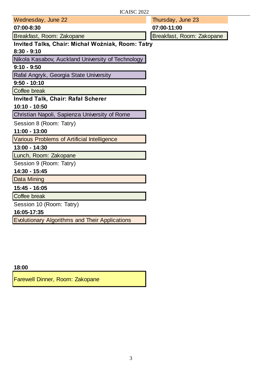| Wednesday, June 22                                    | Thursday, June 23         |  |  |  |
|-------------------------------------------------------|---------------------------|--|--|--|
| 07:00-8:30                                            | 07:00-11:00               |  |  |  |
| Breakfast, Room: Zakopane                             | Breakfast, Room: Zakopane |  |  |  |
| Invited Talks, Chair: Michał Woźniak, Room: Tatry     |                           |  |  |  |
| $8:30 - 9:10$                                         |                           |  |  |  |
| Nikola Kasabov, Auckland University of Technology     |                           |  |  |  |
| $9:10 - 9:50$                                         |                           |  |  |  |
| Rafal Angryk, Georgia State University                |                           |  |  |  |
| $9:50 - 10:10$                                        |                           |  |  |  |
| Coffee break                                          |                           |  |  |  |
| <b>Invited Talk, Chair: Rafał Scherer</b>             |                           |  |  |  |
| 10:10 - 10:50                                         |                           |  |  |  |
| Christian Napoli, Sapienza University of Rome         |                           |  |  |  |
| Session 8 (Room: Tatry)                               |                           |  |  |  |
| 11:00 - 13:00                                         |                           |  |  |  |
| <b>Various Problems of Artificial Intelligence</b>    |                           |  |  |  |
| 13:00 - 14:30                                         |                           |  |  |  |
| Lunch, Room: Zakopane                                 |                           |  |  |  |
| Session 9 (Room: Tatry)                               |                           |  |  |  |
| 14:30 - 15:45                                         |                           |  |  |  |
| <b>Data Mining</b>                                    |                           |  |  |  |
| 15:45 - 16:05                                         |                           |  |  |  |
| <b>Coffee break</b>                                   |                           |  |  |  |
| Session 10 (Room: Tatry)                              |                           |  |  |  |
| 16:05-17:35                                           |                           |  |  |  |
| <b>Evolutionary Algorithms and Their Applications</b> |                           |  |  |  |

**18:00**

Farewell Dinner, Room: Zakopane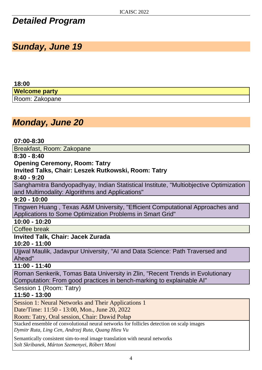## *Detailed Program*

## *Sunday, June 19*

| 18:00                |  |
|----------------------|--|
| <b>Welcome party</b> |  |
| Room: Zakopane       |  |

## *Monday, June 20*

**07:00-8:30**

Breakfast, Room: Zakopane

**8:30 - 8:40**

**Opening Ceremony, Room: Tatry**

#### **Invited Talks, Chair: Leszek Rutkowski, Room: Tatry**

**8:40 - 9:20** 

Sanghamitra Bandyopadhyay, Indian Statistical Institute, "Multiobjective Optimization and Multimodality: Algorithms and Applications"

**9:20 - 10:00** 

Tingwen Huang , Texas A&M University, "Efficient Computational Approaches and Applications to Some Optimization Problems in Smart Grid"

**10:00 - 10:20**

Coffee break

**Invited Talk, Chair: Jacek Zurada**

**10:20 - 11:00**

Ujjwal Maulik, Jadavpur University, "AI and Data Science: Path Traversed and Ahead"

**11:00 - 11:40**

Roman Senkerik, Tomas Bata University in Zlin, "Recent Trends in Evolutionary Computation: From good practices in bench-marking to explainable AI"

Session 1 (Room: Tatry)

#### **11:50 - 13:00**

Session 1: Neural Networks and Their Applications 1

Date/Time: 11:50 - 13:00, Mon., June 20, 2022

Room: Tatry, Oral session, Chair: Dawid Połap

Stacked ensemble of convolutional neural networks for follicles detection on scalp images *Dymitr Ruta, Ling Cen, Andrzej Ruta, Quang Hieu Vu*

Semantically consistent sim-to-real image translation with neural networks *Solt Skribanek, Márton Szemenyei, Róbert Moni*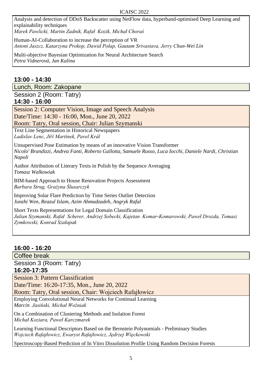Analysis and detection of DDoS Backscatter using NetFlow data, hyperband-optimised Deep Learning and explainability techniques

*Marek Pawlicki, Martin Zadnik, Rafał Kozik, Michał Choraś*

Human-AI-Collaboration to increase the perception of VR *Antoni Jaszcz, Katarzyna Prokop, Dawid Połap, Gautam Srivastava, Jerry Chun-Wei Lin*

Multi-objective Bayesian Optimization for Neural Architecture Search *Petra Vidnerová, Jan Kalina*

#### **13:00 - 14:30**

Lunch, Room: Zakopane

Session 2 (Room: Tatry)

#### **14:30 - 16:00**

Session 2: Computer Vision, Image and Speech Analysis Date/Time: 14:30 - 16:00, Mon., June 20, 2022 Room: Tatry, Oral session, Chair: Julian Szymanski

Text Line Segmentation in Historical Newspapers *Ladislav Lenc, Jiří Martínek, Pavel Král*

Unsupervised Pose Estimation by means of an innovative Vision Transformer *Nicolo' Brandizzi, Andrea Fanti, Roberto Gallotta, Samuele Russo, Luca Iocchi, Daniele Nardi, Christian Napoli*

Author Attribution of Literary Texts in Polish by the Sequence Averaging *Tomasz Walkowiak*

BIM-based Approach to House Renovation Projects Assessment *Barbara Strug, Grażyna Ślusarczyk*

Improving Solar Flare Prediction by Time Series Outlier Detection *Junzhi Wen, Reazul Islam, Azim Ahmadzadeh, Angryk Rafal*

Short Texts Representations for Legal Domain Classification *Julian Szymanski, Rafał Scherer, Andrzej Sobecki, Kajetan Komar-Komarowski, Paweł Drozda, Tomasz Zymkowski, Konrad Szałapak*

#### **16:00 - 16:20**

Coffee break

Session 3 (Room: Tatry)

#### **16:20-17:35**

Session 3: Pattern Classification Date/Time: 16:20-17:35, Mon., June 20, 2022

Room: Tatry, Oral session, Chair: Wojciech Rafajłowicz

Employing Convolutional Neural Networks for Continual Learning *Marcin Jasiński, Michał Woźniak*

On a Combination of Clustering Methods and Isolation Forest *Michał Koziara, Paweł Karczmarek*

Learning Functional Descriptors Based on the Bernstein Polynomials - Preliminary Studies *Wojciech Rafajłowicz, Ewaryst Rafajłowicz, Jędrzej Więckowski*

Spectroscopy-Based Prediction of In Vitro Dissolution Profile Using Random Decision Forests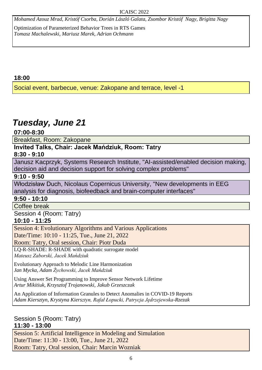*Mohamed Azouz Mrad, Kristóf Csorba, Dorián László Galata, Zsombor Kristóf Nagy, Brigitta Nagy*

Optimization of Parameterized Behavior Trees in RTS Games *Tomasz Machalewski, Mariusz Marek, Adrian Ochmann*

#### **18:00**

Social event, barbecue, venue: Zakopane and terrace, level -1

## *Tuesday, June 21*

**07:00-8:30**

Breakfast, Room: Zakopane

#### **Invited Talks, Chair: Jacek Mańdziuk, Room: Tatry**

#### **8:30 - 9:10**

Janusz Kacprzyk, Systems Research Institute, "AI-assisted/enabled decision making, decision aid and decision support for solving complex problems"

#### **9:10 - 9:50**

Włodzisław Duch, Nicolaus Copernicus University, "New developments in EEG analysis for diagnosis, biofeedback and brain-computer interfaces"

**9:50 - 10:10**

Coffee break

Session 4 (Room: Tatry)

#### **10:10 - 11:25**

Session 4: Evolutionary Algorithms and Various Applications

Date/Time: 10:10 - 11:25, Tue., June 21, 2022

Room: Tatry, Oral session, Chair: Piotr Duda

LQ-R-SHADE: R-SHADE with quadratic surrogate model *Mateusz Zaborski, Jacek Mańdziuk*

Evolutionary Approach to Melodic Line Harmonization *Jan Mycka, Adam Żychowski, Jacek Mańdziuk*

Using Answer Set Programming to Improve Sensor Network Lifetime *Artur Mikitiuk, Krzysztof Trojanowski, Jakub Grzeszczak*

An Application of Information Granules to Detect Anomalies in COVID-19 Reports *Adam Kiersztyn, Krystyna Kiersztyn, Rafał Łopucki, Patrycja Jędrzejewska-Rzezak*

Session 5 (Room: Tatry) **11:30 - 13:00**

Session 5: Artificial Intelligence in Modeling and Simulation Date/Time: 11:30 - 13:00, Tue., June 21, 2022 Room: Tatry, Oral session, Chair: Marcin Wozniak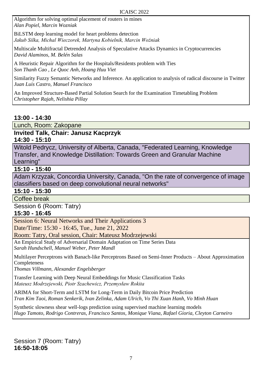Algorithm for solving optimal placement of routers in mines *Alan Popiel, Marcin Wozniak*

BiLSTM deep learning model for heart problems detection *Jakub Silka, Michal Wieczorek, Martyna Kobielnik, Marcin Woźniak*

Multiscale Multifractal Detrended Analysis of Speculative Attacks Dynamics in Cryptocurrencies *David Alaminos, M. Belén Salas*

A Heuristic Repair Algorithm for the Hospitals/Residents problem with Ties *Son Thanh Cao , Le Quoc Anh, Hoang Huu Viet*

Similarity Fuzzy Semantic Networks and Inference. An application to analysis of radical discourse in Twitter *Juan Luis Castro, Manuel Francisco*

An Improved Structure-Based Partial Solution Search for the Examination Timetabling Problem *Christopher Rajah, Nelishia Pillay*

#### **13:00 - 14:30**

Lunch, Room: Zakopane

#### **Invited Talk, Chair: Janusz Kacprzyk 14:30 - 15:10**

Witold Pedrycz, University of Alberta, Canada, "Federated Learning, Knowledge Transfer, and Knowledge Distillation: Towards Green and Granular Machine Learning"

#### **15:10 - 15:40**

Adam Krzyzak, Concordia University, Canada, "On the rate of convergence of image classifiers based on deep convolutional neural networks"

#### **15:10 - 15:30**

Coffee break

Session 6 (Room: Tatry)

#### **15:30 - 16:45**

Session 6: Neural Networks and Their Applications 3 Date/Time: 15:30 - 16:45, Tue., June 21, 2022

Room: Tatry, Oral session, Chair: Mateusz Modrzejewski

An Empirical Study of Adversarial Domain Adaptation on Time Series Data *Sarah Hundschell, Manuel Weber, Peter Mandl*

Multilayer Perceptrons with Banach-like Perceptrons Based on Semi-Inner Products – About Approximation **Completeness** 

*Thomas Villmann, Alexander Engelsberger*

Transfer Learning with Deep Neural Embeddings for Music Classification Tasks *Mateusz Modrzejewski, Piotr Szachewicz, Przemysław Rokita*

ARIMA for Short-Term and LSTM for Long-Term in Daily Bitcoin Price Prediction *Tran Kim Taoi, Roman Senkerik, Ivan Zelinka, Adam Ulrich, Vo Thi Xuan Hanh, Vo Minh Huan*

Synthetic slowness shear well-logs prediction using supervised machine learning models *Hugo Tamoto, Rodrigo Contreras, Francisco Santos, Monique Viana, Rafael Gioria, Cleyton Carneiro*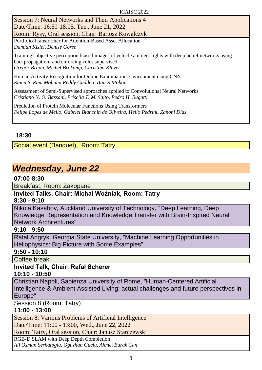Session 7: Neural Networks and Their Applications 4 Date/Time: 16:50-18:05, Tue., June 21, 2022

Room: Rysy, Oral session, Chair: Bartosz Kowalczyk

Portfolio Transformer for Attention-Based Asset Allocation *Damian Kisiel, Denise Gorse*

Training subjective perception biased images of vehicle ambient lights with deep belief networks using backpropagation- and enforcing-rules supervised *Gregor Braun, Michel Brokamp, Christina Klüver*

Human Activity Recognition for Online Examination Environment using CNN *Ramu S, Ram Mohana Reddy Guddeti, Biju R Mohan*

Assessment of Semi-Supervised approaches applied to Convolutional Neural Networks *Cristiano N. O. Bassani, Priscila T. M. Saito, Pedro H. Bugatti*

Prediction of Protein Molecular Functions Using Transformers *Felipe Lopes de Mello, Gabriel Bianchin de Oliveira, Helio Pedrini, Zanoni Dias*

#### **18:30**

Social event (Banquet), Room: Tatry

## *Wednesday, June 22*

#### **07:00-8:30**

Breakfast, Room: Zakopane

#### **Invited Talks, Chair: Michał Woźniak, Room: Tatry**

#### **8:30 - 9:10**

Nikola Kasabov, Auckland University of Technology, "Deep Learning, Deep Knowledge Representation and Knowledge Transfer with Brain-Inspired Neural Network Architectures"

#### **9:10 - 9:50**

Rafal Angryk, Georgia State University, "Machine Learning Opportunities in Heliophysics: Big Picture with Some Examples"

#### **9:50 - 10:10**

Coffee break

## **Invited Talk, Chair: Rafał Scherer**

**10:10 - 10:50**

Christian Napoli, Sapienza University of Rome, "Human-Centered Artificial Intelligence & Ambient Assisted Living: actual challenges and future perspectives in Europe"

Session 8 (Room: Tatry)

#### **11:00 - 13:00**

Session 8: Various Problems of Artificial Intelligence

Date/Time: 11:00 - 13:00, Wed., June 22, 2022

Room: Tatry, Oral session, Chair: Janusz Starczewski

RGB-D SLAM with Deep Depth Completion

*Ali Osman Serhatoglu, Oguzhan Guclu, Ahmet Burak Can*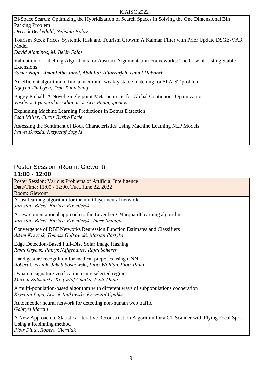#### ICAISC 2022

Bi-Space Search: Optimizing the Hybridization of Search Spaces in Solving the One Dimensional Bin Packing Problem

*Derrick Beckedahl, Nelishia Pillay*

Tourism Stock Prices, Systemic Risk and Tourism Growth: A Kalman Filter with Prior Update DSGE-VAR Model

*David Alaminos, M. Belén Salas*

Validation of Labelling Algorithms for Abstract Argumentation Frameworks: The Case of Listing Stable Extensions

*Samer Nofal, Amani Abu Jabal, Abdullah Alfarrarjeh, Ismail Hababeh*

An efficient algorithm to find a maximum weakly stable matching for SPA-ST problem *Nguyen Thi Uyen, Tran Xuan Sang*

Buggy Pinball: A Novel Single-point Meta-heuristic for Global Continuous Optimization *Vasileios Lymperakis, Athanasios Aris Panagopoulos*

Explaining Machine Learning Predictions In Botnet Detection *Sean Miller, Curtis Busby-Earle*

Assessing the Sentiment of Book Characteristics Using Machine Learning NLP Models *Paweł Drozda, Krzysztof Sopyła*

#### Poster Session (Room: Giewont) **11:00 - 12:00**

Poster Session: Various Problems of Artificial Intelligence Date/Time: 11:00 - 12:00, Tue., June 22, 2022 Room: Giewont

A fast learning algorithm for the multilayer neural network *Jarosław Bilski, Bartosz Kowalczyk*

A new computational approach to the Levenberg-Marquardt learning algorithm *Jarosław Bilski, Bartosz Kowalczyk, Jacek Smoląg*

Convergence of RBF Networks Regression Function Estimates and Classifiers *Adam Krzyżak, Tomasz Gałkowski, Marian Partyka*

Edge Detection-Based Full-Disc Solar Image Hashing *Rafał Grycuk, Patryk Najgebauer, Rafał Scherer* 

Hand gesture recognition for medical purposes using CNN *Robert Cierniak, Jakub Sosnowski, Piotr Woldan, Piotr Pluta*

Dynamic signature verification using selected regions *Marcin Zalasiński, Krzysztof Cpałka, Piotr Duda*

A multi-population-based algorithm with different ways of subpopulations cooperation *Krystian Łapa, Leszek Rutkowski, Krzysztof Cpałka*

Autoencoder neural network for detecting non-human web traffic *Gabryel Marcin*

A New Approach to Statistical Iterative Reconstruction Algorithm for a CT Scanner with Flying Focal Spot Using a Rebinning method *Piotr Pluta, Robert Cierniak*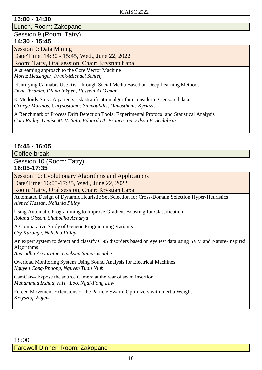#### **13:00 - 14:30**

Lunch, Room: Zakopane

Session 9 (Room: Tatry)

#### **14:30 - 15:45**

Session 9: Data Mining Date/Time: 14:30 - 15:45, Wed., June 22, 2022

Room: Tatry, Oral session, Chair: Krystian Łapa

A streaming approach to the Core Vector Machine *Moritz Heusinger, Frank-Michael Schleif*

Identifying Cannabis Use Risk through Social Media Based on Deep Learning Methods *Doaa Ibrahim, Diana Inkpen, Hussein Al Osman*

K-Medoids-Surv: A patients risk stratification algorithm considering censored data *George Marinos, Chrysostomos Simvoulidis, Dimosthenis Kyriazis*

A Benchmark of Process Drift Detection Tools: Experimental Protocol and Statistical Analysis *Caio Raduy, Denise M. V. Sato, Eduardo A. Franciscon, Edson E. Scalabrin*

#### **15:45 - 16:05**

Coffee break

Session 10 (Room: Tatry)

#### **16:05-17:35**

Session 10: Evolutionary Algorithms and Applications

Date/Time: 16:05-17:35, Wed., June 22, 2022

Room: Tatry, Oral session, Chair: Krystian Łapa

Automated Design of Dynamic Heuristic Set Selection for Cross-Domain Selection Hyper-Heuristics *Ahmed Hassan, Nelishia Pillay*

Using Automatic Programming to Improve Gradient Boosting for Classification *Roland Olsson, Shubodha Acharya*

A Comparative Study of Genetic Programming Variants *Cry Kuranga, Nelishia Pillay*

An expert system to detect and classify CNS disorders based on eye test data using SVM and Nature-Inspired Algorithms

*Anuradha Ariyaratne, Upeksha Samarasinghe*

Overload Monitoring System Using Sound Analysis for Electrical Machines *Nguyen Cong-Phuong, Nguyen Tuan Ninh*

CamCarv- Expose the source Camera at the rear of seam insertion *Muhammad Irshad, K.H. Loo, Ngai-Fong Law*

Forced Movement Extensions of the Particle Swarm Optimizers with Inertia Weight *Krzysztof Wójcik*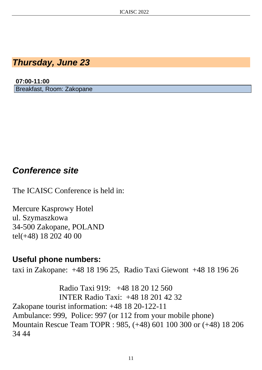*Thursday, June 23*

**07:00-11:00** Breakfast, Room: Zakopane

### *Conference site*

The ICAISC Conference is held in:

Mercure Kasprowy Hotel ul. Szymaszkowa 34-500 Zakopane, POLAND tel(+48) 18 202 40 00

#### **Useful phone numbers:**

taxi in Zakopane: +48 18 196 25, Radio Taxi Giewont +48 18 196 26

Radio Taxi 919: +48 18 20 12 560 INTER Radio Taxi: +48 18 201 42 32 Zakopane tourist information: +48 18 20-122-11 Ambulance: 999, Police: 997 (or 112 from your mobile phone) Mountain Rescue Team TOPR : 985, (+48) 601 100 300 or (+48) 18 206 34 44